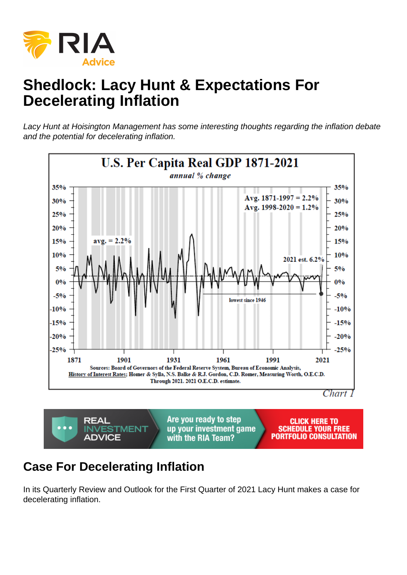# Shedlock: Lacy Hunt & Expectations For Decelerating Inflation

Lacy Hunt at Hoisington Management has some interesting thoughts regarding the inflation debate and the potential for decelerating inflation.

#### Case For Decelerating Inflation

In its Quarterly Review and Outlook for the First Quarter of 2021 Lacy Hunt makes a case for decelerating inflation.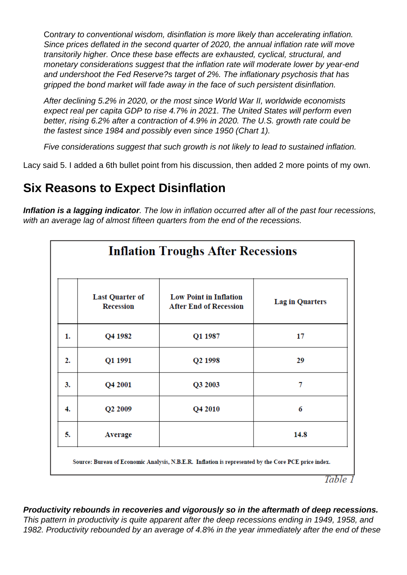Contrary to conventional wisdom, disinflation is more likely than accelerating inflation. Since prices deflated in the second quarter of 2020, the annual inflation rate will move transitorily higher. Once these base effects are exhausted, cyclical, structural, and monetary considerations suggest that the inflation rate will moderate lower by year-end and undershoot the Fed Reserve?s target of 2%. The inflationary psychosis that has gripped the bond market will fade away in the face of such persistent disinflation.

After declining 5.2% in 2020, or the most since World War II, worldwide economists expect real per capita GDP to rise 4.7% in 2021. The United States will perform even better, rising 6.2% after a contraction of 4.9% in 2020. The U.S. growth rate could be the fastest since 1984 and possibly even since 1950 (Chart 1).

Five considerations suggest that such growth is not likely to lead to sustained inflation.

Lacy said 5. I added a 6th bullet point from his discussion, then added 2 more points of my own.

## **Six Reasons to Expect Disinflation**

**Inflation is a lagging indicator**. The low in inflation occurred after all of the past four recessions, with an average lag of almost fifteen quarters from the end of the recessions.

|    | <b>Inflation Troughs After Recessions</b>  |                                                                |                        |  |  |  |
|----|--------------------------------------------|----------------------------------------------------------------|------------------------|--|--|--|
|    | <b>Last Quarter of</b><br><b>Recession</b> | <b>Low Point in Inflation</b><br><b>After End of Recession</b> | <b>Lag in Quarters</b> |  |  |  |
| 1. | Q4 1982                                    | Q1 1987                                                        | 17                     |  |  |  |
| 2. | Q1 1991                                    | Q <sub>2</sub> 1998                                            | 29                     |  |  |  |
| 3. | Q4 2001                                    | Q3 2003                                                        | 7                      |  |  |  |
| 4. | Q <sub>2</sub> 2009                        | Q4 2010                                                        | 6                      |  |  |  |
| 5. | <b>Average</b>                             |                                                                | 14.8                   |  |  |  |

Table 1

**Productivity rebounds in recoveries and vigorously so in the aftermath of deep recessions.** This pattern in productivity is quite apparent after the deep recessions ending in 1949, 1958, and 1982. Productivity rebounded by an average of 4.8% in the year immediately after the end of these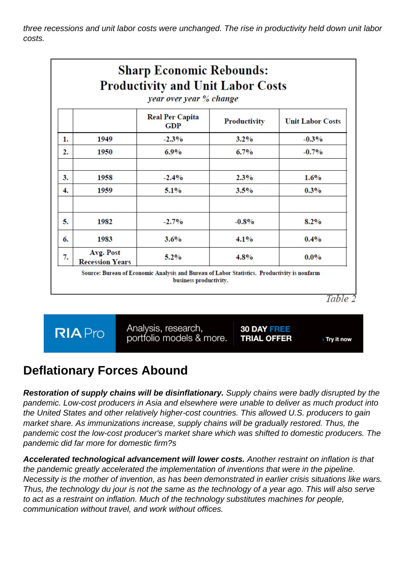three recessions and unit labor costs were unchanged. The rise in productivity held down unit labor costs.

| <b>Sharp Economic Rebounds:</b><br><b>Productivity and Unit Labor Costs</b><br>year over year % change |                                     |                               |              |                         |  |  |
|--------------------------------------------------------------------------------------------------------|-------------------------------------|-------------------------------|--------------|-------------------------|--|--|
|                                                                                                        |                                     | <b>Real Per Capita</b><br>GDP | Productivity | <b>Unit Labor Costs</b> |  |  |
| 1.                                                                                                     | 1949                                | $-2.3%$                       | $3.2\%$      | $-0.3%$                 |  |  |
| 2.                                                                                                     | 1950                                | 6.9%                          | $6.7\%$      | $-0.7%$                 |  |  |
| 3.                                                                                                     | 1958                                | $-2.4%$                       | 2.3%         | $1.6\%$                 |  |  |
| 4.                                                                                                     | 1959                                | 5.1%                          | 3.5%         | 0.3%                    |  |  |
| 5.                                                                                                     | 1982                                | $-2.7%$                       | $-0.8%$      | $8.2\%$                 |  |  |
| 6.                                                                                                     | 1983                                | 3.6%                          | $4.1\%$      | 0.4%                    |  |  |
| 7.                                                                                                     | Avg. Post<br><b>Recession Years</b> | $5.2\%$                       | $4.8\%$      | $0.0\%$                 |  |  |

Table 2

**RIA** Pro

Analysis, research,<br>portfolio models & more.

**30 DAY FREE TRIAL OFFER** 

> Try it now

#### **Deflationary Forces Abound**

**Restoration of supply chains will be disinflationary.** Supply chains were badly disrupted by the pandemic. Low-cost producers in Asia and elsewhere were unable to deliver as much product into the United States and other relatively higher-cost countries. This allowed U.S. producers to gain market share. As immunizations increase, supply chains will be gradually restored. Thus, the pandemic cost the low-cost producer's market share which was shifted to domestic producers. The pandemic did far more for domestic firm?s

**Accelerated technological advancement will lower costs.** Another restraint on inflation is that the pandemic greatly accelerated the implementation of inventions that were in the pipeline. Necessity is the mother of invention, as has been demonstrated in earlier crisis situations like wars. Thus, the technology du jour is not the same as the technology of a year ago. This will also serve to act as a restraint on inflation. Much of the technology substitutes machines for people, communication without travel, and work without offices.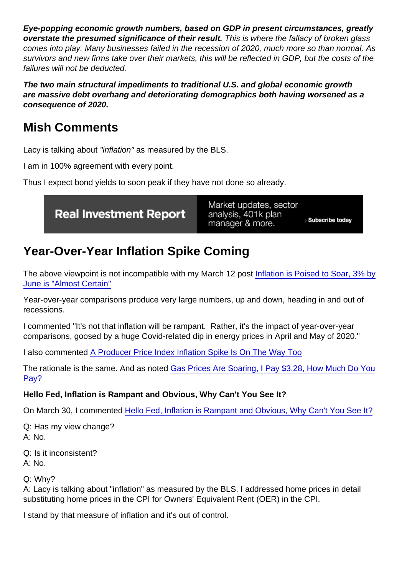Eye-popping economic growth numbers, based on GDP in present circumstances, greatly overstate the presumed significance of their result. This is where the fallacy of broken glass comes into play. Many businesses failed in the recession of 2020, much more so than normal. As survivors and new firms take over their markets, this will be reflected in GDP, but the costs of the failures will not be deducted.

The two main structural impediments to traditional U.S. and global economic growth are massive debt overhang and deteriorating demographics both having worsened as a consequence of 2020.

### Mish Comments

Lacy is talking about "inflation" as measured by the BLS.

I am in 100% agreement with every point.

Thus I expect bond yields to soon peak if they have not done so already.

# Year-Over-Year Inflation Spike Coming

The above viewpoint is not incompatible with my March 12 post [Inflation is Poised to Soar, 3% by](https://www.thestreet.com/mishtalk/economics/inflation-is-poised-to-soar-3-by-june-is-almost-certain) [June is "Almost Certain"](https://www.thestreet.com/mishtalk/economics/inflation-is-poised-to-soar-3-by-june-is-almost-certain)

Year-over-year comparisons produce very large numbers, up and down, heading in and out of recessions.

I commented "It's not that inflation will be rampant. Rather, it's the impact of year-over-year comparisons, goosed by a huge Covid-related dip in energy prices in April and May of 2020."

I also commented [A Producer Price Index Inflation Spike Is On The Way Too](https://www.thestreet.com/mishtalk/economics/a-producer-price-index-inflation-spike-is-on-the-way-too)

The rationale is the same. And as noted [Gas Prices Are Soaring, I Pay \\$3.28, How Much Do You](https://www.thestreet.com/mishtalk/economics/gas-prices-are-soaring-i-pay-3-28-how-much-do-you-pay) [Pay?](https://www.thestreet.com/mishtalk/economics/gas-prices-are-soaring-i-pay-3-28-how-much-do-you-pay)

Hello Fed, Inflation is Rampant and Obvious, Why Can't You See It?

On March 30, I commented [Hello Fed, Inflation is Rampant and Obvious, Why Can't You See It?](https://www.thestreet.com/mishtalk/economics/hello-fed-inflation-is-rampant-and-obvious-why-cant-you-see-it)

Q: Has my view change? A: No.

Q: Is it inconsistent? A: No.

Q: Why?

A: Lacy is talking about "inflation" as measured by the BLS. I addressed home prices in detail substituting home prices in the CPI for Owners' Equivalent Rent (OER) in the CPI.

I stand by that measure of inflation and it's out of control.